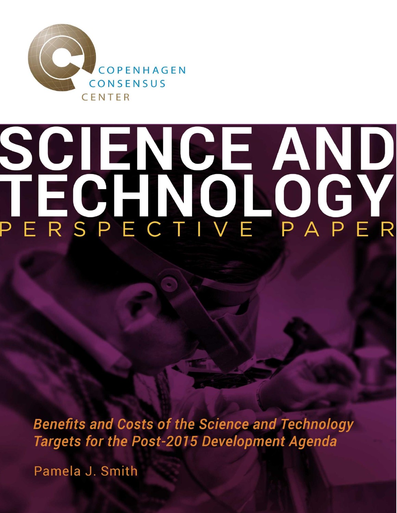

# SCIENCE AND<br>TECHNOLOGY

**Benefits and Costs of the Science and Technology Targets for the Post-2015 Development Agenda** 

Pamela J. Smith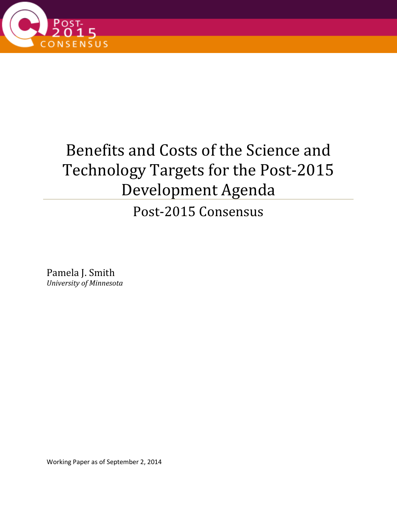

# Benefits and Costs of the Science and Technology Targets for the Post-2015 Development Agenda

Post-2015 Consensus

Pamela J. Smith *University of Minnesota* 

Working Paper as of September 2, 2014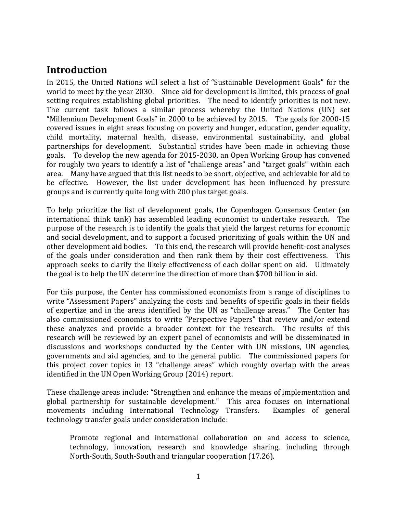# <span id="page-3-0"></span>**Introduction**

In 2015, the United Nations will select a list of "Sustainable Development Goals" for the world to meet by the year 2030. Since aid for development is limited, this process of goal setting requires establishing global priorities. The need to identify priorities is not new. The current task follows a similar process whereby the United Nations (UN) set "Millennium Development Goals" in 2000 to be achieved by 2015. The goals for 2000-15 covered issues in eight areas focusing on poverty and hunger, education, gender equality, child mortality, maternal health, disease, environmental sustainability, and global partnerships for development. Substantial strides have been made in achieving those goals. To develop the new agenda for 2015-2030, an Open Working Group has convened for roughly two years to identify a list of "challenge areas" and "target goals" within each area. Many have argued that this list needs to be short, objective, and achievable for aid to be effective. However, the list under development has been influenced by pressure groups and is currently quite long with 200 plus target goals.

To help prioritize the list of development goals, the Copenhagen Consensus Center (an international think tank) has assembled leading economist to undertake research. The purpose of the research is to identify the goals that yield the largest returns for economic and social development, and to support a focused prioritizing of goals within the UN and other development aid bodies. To this end, the research will provide benefit-cost analyses of the goals under consideration and then rank them by their cost effectiveness. This approach seeks to clarify the likely effectiveness of each dollar spent on aid. Ultimately the goal is to help the UN determine the direction of more than \$700 billion in aid.

For this purpose, the Center has commissioned economists from a range of disciplines to write "Assessment Papers" analyzing the costs and benefits of specific goals in their fields of expertize and in the areas identified by the UN as "challenge areas." The Center has also commissioned economists to write "Perspective Papers" that review and/or extend these analyzes and provide a broader context for the research. The results of this research will be reviewed by an expert panel of economists and will be disseminated in discussions and workshops conducted by the Center with UN missions, UN agencies, governments and aid agencies, and to the general public. The commissioned papers for this project cover topics in 13 "challenge areas" which roughly overlap with the areas identified in the UN Open Working Group (2014) report.

These challenge areas include: "Strengthen and enhance the means of implementation and global partnership for sustainable development." This area focuses on international movements including International Technology Transfers. Examples of general technology transfer goals under consideration include:

Promote regional and international collaboration on and access to science, technology, innovation, research and knowledge sharing, including through North-South, South-South and triangular cooperation (17.26).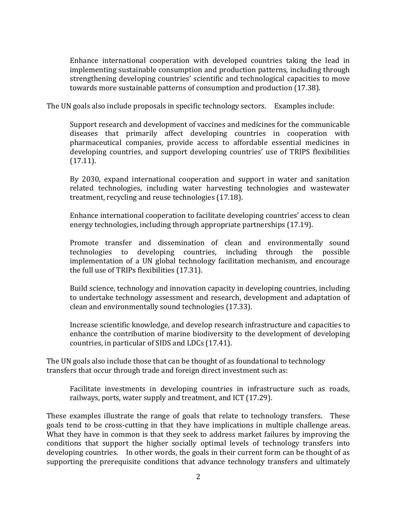Enhance international cooperation with developed countries taking the lead in implementing sustainable consumption and production patterns, including through strengthening developing countries' scientific and technological capacities to move towards more sustainable patterns of consumption and production (17.38).

The UN goals also include proposals in specific technology sectors. Examples include:

Support research and development of vaccines and medicines for the communicable diseases that primarily affect developing countries in cooperation with pharmaceutical companies, provide access to affordable essential medicines in developing countries, and support developing countries' use of TRIPS flexibilities (17.11).

By 2030, expand international cooperation and support in water and sanitation related technologies, including water harvesting technologies and wastewater treatment, recycling and reuse technologies (17.18).

Enhance international cooperation to facilitate developing countries' access to clean energy technologies, including through appropriate partnerships (17.19).

Promote transfer and dissemination of clean and environmentally sound technologies to developing countries, including through the possible implementation of a UN global technology facilitation mechanism, and encourage the full use of TRIPs flexibilities (17.31).

Build science, technology and innovation capacity in developing countries, including to undertake technology assessment and research, development and adaptation of clean and environmentally sound technologies (17.33).

Increase scientific knowledge, and develop research infrastructure and capacities to enhance the contribution of marine biodiversity to the development of developing countries, in particular of SIDS and LDCs (17.41).

The UN goals also include those that can be thought of as foundational to technology transfers that occur through trade and foreign direct investment such as:

Facilitate investments in developing countries in infrastructure such as roads, railways, ports, water supply and treatment, and ICT (17.29).

These examples illustrate the range of goals that relate to technology transfers. These goals tend to be cross-cutting in that they have implications in multiple challenge areas. What they have in common is that they seek to address market failures by improving the conditions that support the higher socially optimal levels of technology transfers into developing countries. In other words, the goals in their current form can be thought of as supporting the prerequisite conditions that advance technology transfers and ultimately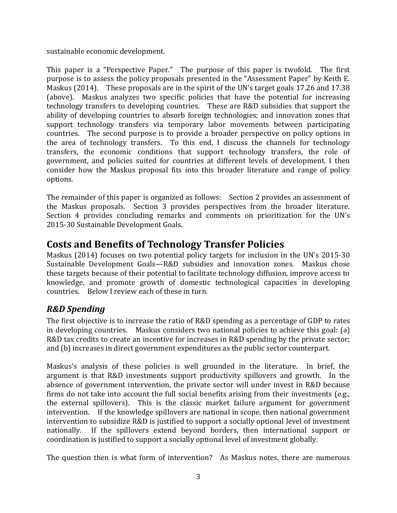sustainable economic development.

This paper is a "Perspective Paper." The purpose of this paper is twofold. The first purpose is to assess the policy proposals presented in the "Assessment Paper" by Keith E. Maskus (2014). These proposals are in the spirit of the UN's target goals 17.26 and 17.38 (above). Maskus analyzes two specific policies that have the potential for increasing technology transfers to developing countries. These are R&D subsidies that support the ability of developing countries to absorb foreign technologies; and innovation zones that support technology transfers via temporary labor movements between participating countries. The second purpose is to provide a broader perspective on policy options in the area of technology transfers. To this end, I discuss the channels for technology transfers, the economic conditions that support technology transfers, the role of government, and policies suited for countries at different levels of development. I then consider how the Maskus proposal fits into this broader literature and range of policy options.

The remainder of this paper is organized as follows: Section 2 provides an assessment of the Maskus proposals. Section 3 provides perspectives from the broader literature. Section 4 provides concluding remarks and comments on prioritization for the UN's 2015-30 Sustainable Development Goals.

# <span id="page-5-0"></span>**Costs and Benefits of Technology Transfer Policies**

Maskus (2014) focuses on two potential policy targets for inclusion in the UN's 2015-30 Sustainable Development Goals—R&D subsidies and innovation zones. Maskus chose these targets because of their potential to facilitate technology diffusion, improve access to knowledge, and promote growth of domestic technological capacities in developing countries. Below I review each of these in turn.

### <span id="page-5-1"></span>*R&D Spending*

The first objective is to increase the ratio of R&D spending as a percentage of GDP to rates in developing countries. Maskus considers two national policies to achieve this goal: (a) R&D tax credits to create an incentive for increases in R&D spending by the private sector; and (b) increases in direct government expenditures as the public sector counterpart.

Maskus's analysis of these policies is well grounded in the literature. In brief, the argument is that R&D investments support productivity spillovers and growth. In the absence of government intervention, the private sector will under invest in R&D because firms do not take into account the full social benefits arising from their investments (e.g., the external spillovers). This is the classic market failure argument for government intervention. If the knowledge spillovers are national in scope, then national government intervention to subsidize R&D is justified to support a socially optional level of investment nationally. If the spillovers extend beyond borders, then international support or coordination is justified to support a socially optional level of investment globally.

The question then is what form of intervention? As Maskus notes, there are numerous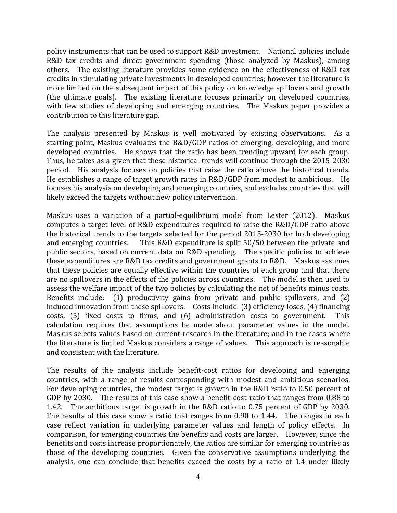policy instruments that can be used to support R&D investment. National policies include R&D tax credits and direct government spending (those analyzed by Maskus), among others. The existing literature provides some evidence on the effectiveness of R&D tax credits in stimulating private investments in developed countries; however the literature is more limited on the subsequent impact of this policy on knowledge spillovers and growth (the ultimate goals). The existing literature focuses primarily on developed countries, with few studies of developing and emerging countries. The Maskus paper provides a contribution to this literature gap.

The analysis presented by Maskus is well motivated by existing observations. As a starting point, Maskus evaluates the R&D/GDP ratios of emerging, developing, and more developed countries. He shows that the ratio has been trending upward for each group. Thus, he takes as a given that these historical trends will continue through the 2015-2030 period. His analysis focuses on policies that raise the ratio above the historical trends. He establishes a range of target growth rates in R&D/GDP from modest to ambitious. He focuses his analysis on developing and emerging countries, and excludes countries that will likely exceed the targets without new policy intervention.

Maskus uses a variation of a partial-equilibrium model from Lester (2012). Maskus computes a target level of R&D expenditures required to raise the R&D/GDP ratio above the historical trends to the targets selected for the period 2015-2030 for both developing and emerging countries. This R&D expenditure is split 50/50 between the private and public sectors, based on current data on R&D spending. The specific policies to achieve these expenditures are R&D tax credits and government grants to R&D. Maskus assumes that these policies are equally effective within the countries of each group and that there are no spillovers in the effects of the policies across countries. The model is then used to assess the welfare impact of the two policies by calculating the net of benefits minus costs. Benefits include: (1) productivity gains from private and public spillovers, and (2) induced innovation from these spillovers. Costs include: (3) efficiency loses, (4) financing costs, (5) fixed costs to firms, and (6) administration costs to government. This calculation requires that assumptions be made about parameter values in the model. Maskus selects values based on current research in the literature; and in the cases where the literature is limited Maskus considers a range of values. This approach is reasonable and consistent with the literature.

The results of the analysis include benefit-cost ratios for developing and emerging countries, with a range of results corresponding with modest and ambitious scenarios. For developing countries, the modest target is growth in the R&D ratio to 0.50 percent of GDP by 2030. The results of this case show a benefit-cost ratio that ranges from 0.88 to 1.42. The ambitious target is growth in the R&D ratio to 0.75 percent of GDP by 2030. The results of this case show a ratio that ranges from 0.90 to 1.44. The ranges in each case reflect variation in underlying parameter values and length of policy effects. In comparison, for emerging countries the benefits and costs are larger. However, since the benefits and costs increase proportionately, the ratios are similar for emerging countries as those of the developing countries. Given the conservative assumptions underlying the analysis, one can conclude that benefits exceed the costs by a ratio of 1.4 under likely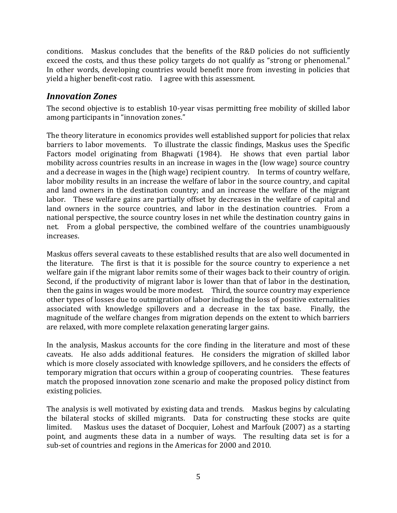conditions. Maskus concludes that the benefits of the R&D policies do not sufficiently exceed the costs, and thus these policy targets do not qualify as "strong or phenomenal." In other words, developing countries would benefit more from investing in policies that yield a higher benefit-cost ratio. I agree with this assessment.

#### <span id="page-7-0"></span>*Innovation Zones*

The second objective is to establish 10-year visas permitting free mobility of skilled labor among participants in "innovation zones."

The theory literature in economics provides well established support for policies that relax barriers to labor movements. To illustrate the classic findings, Maskus uses the Specific Factors model originating from Bhagwati (1984). He shows that even partial labor mobility across countries results in an increase in wages in the (low wage) source country and a decrease in wages in the (high wage) recipient country. In terms of country welfare, labor mobility results in an increase the welfare of labor in the source country, and capital and land owners in the destination country; and an increase the welfare of the migrant labor. These welfare gains are partially offset by decreases in the welfare of capital and land owners in the source countries, and labor in the destination countries. From a national perspective, the source country loses in net while the destination country gains in net. From a global perspective, the combined welfare of the countries unambiguously increases.

Maskus offers several caveats to these established results that are also well documented in the literature. The first is that it is possible for the source country to experience a net welfare gain if the migrant labor remits some of their wages back to their country of origin. Second, if the productivity of migrant labor is lower than that of labor in the destination, then the gains in wages would be more modest. Third, the source country may experience other types of losses due to outmigration of labor including the loss of positive externalities associated with knowledge spillovers and a decrease in the tax base. Finally, the magnitude of the welfare changes from migration depends on the extent to which barriers are relaxed, with more complete relaxation generating larger gains.

In the analysis, Maskus accounts for the core finding in the literature and most of these caveats. He also adds additional features. He considers the migration of skilled labor which is more closely associated with knowledge spillovers, and he considers the effects of temporary migration that occurs within a group of cooperating countries. These features match the proposed innovation zone scenario and make the proposed policy distinct from existing policies.

The analysis is well motivated by existing data and trends. Maskus begins by calculating the bilateral stocks of skilled migrants. Data for constructing these stocks are quite limited. Maskus uses the dataset of Docquier, Lohest and Marfouk (2007) as a starting point, and augments these data in a number of ways. The resulting data set is for a sub-set of countries and regions in the Americas for 2000 and 2010.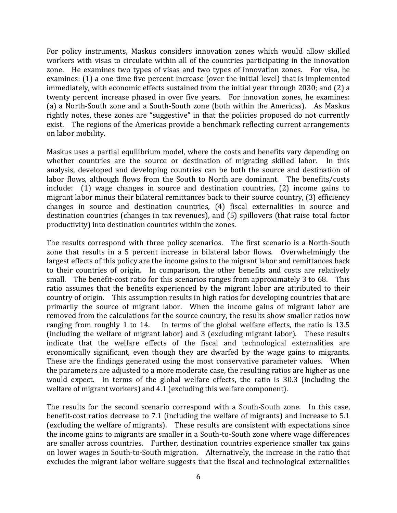For policy instruments, Maskus considers innovation zones which would allow skilled workers with visas to circulate within all of the countries participating in the innovation zone. He examines two types of visas and two types of innovation zones. For visa, he examines: (1) a one-time five percent increase (over the initial level) that is implemented immediately, with economic effects sustained from the initial year through 2030; and (2) a twenty percent increase phased in over five years. For innovation zones, he examines: (a) a North-South zone and a South-South zone (both within the Americas). As Maskus rightly notes, these zones are "suggestive" in that the policies proposed do not currently exist. The regions of the Americas provide a benchmark reflecting current arrangements on labor mobility.

Maskus uses a partial equilibrium model, where the costs and benefits vary depending on whether countries are the source or destination of migrating skilled labor. In this analysis, developed and developing countries can be both the source and destination of labor flows, although flows from the South to North are dominant. The benefits/costs include: (1) wage changes in source and destination countries, (2) income gains to migrant labor minus their bilateral remittances back to their source country, (3) efficiency changes in source and destination countries, (4) fiscal externalities in source and destination countries (changes in tax revenues), and (5) spillovers (that raise total factor productivity) into destination countries within the zones.

The results correspond with three policy scenarios. The first scenario is a North-South zone that results in a 5 percent increase in bilateral labor flows. Overwhelmingly the largest effects of this policy are the income gains to the migrant labor and remittances back to their countries of origin. In comparison, the other benefits and costs are relatively small. The benefit-cost ratio for this scenarios ranges from approximately 3 to 68. This ratio assumes that the benefits experienced by the migrant labor are attributed to their country of origin. This assumption results in high ratios for developing countries that are primarily the source of migrant labor. When the income gains of migrant labor are removed from the calculations for the source country, the results show smaller ratios now ranging from roughly 1 to 14. In terms of the global welfare effects, the ratio is 13.5 (including the welfare of migrant labor) and 3 (excluding migrant labor). These results indicate that the welfare effects of the fiscal and technological externalities are economically significant, even though they are dwarfed by the wage gains to migrants. These are the findings generated using the most conservative parameter values. When the parameters are adjusted to a more moderate case, the resulting ratios are higher as one would expect. In terms of the global welfare effects, the ratio is 30.3 (including the welfare of migrant workers) and 4.1 (excluding this welfare component).

The results for the second scenario correspond with a South-South zone. In this case, benefit-cost ratios decrease to 7.1 (including the welfare of migrants) and increase to 5.1 (excluding the welfare of migrants). These results are consistent with expectations since the income gains to migrants are smaller in a South-to-South zone where wage differences are smaller across countries. Further, destination countries experience smaller tax gains on lower wages in South-to-South migration. Alternatively, the increase in the ratio that excludes the migrant labor welfare suggests that the fiscal and technological externalities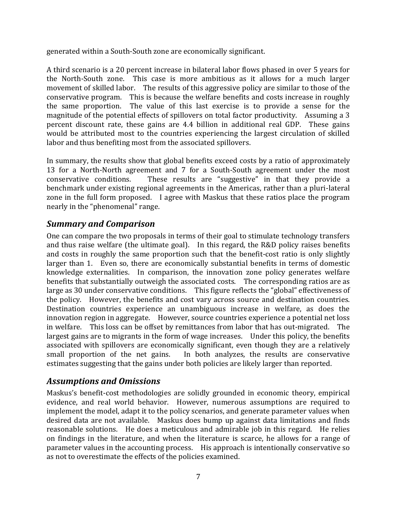generated within a South-South zone are economically significant.

A third scenario is a 20 percent increase in bilateral labor flows phased in over 5 years for the North-South zone. This case is more ambitious as it allows for a much larger movement of skilled labor. The results of this aggressive policy are similar to those of the conservative program. This is because the welfare benefits and costs increase in roughly the same proportion. The value of this last exercise is to provide a sense for the magnitude of the potential effects of spillovers on total factor productivity. Assuming a 3 percent discount rate, these gains are 4.4 billion in additional real GDP. These gains would be attributed most to the countries experiencing the largest circulation of skilled labor and thus benefiting most from the associated spillovers.

In summary, the results show that global benefits exceed costs by a ratio of approximately 13 for a North-North agreement and 7 for a South-South agreement under the most conservative conditions. These results are "suggestive" in that they provide a benchmark under existing regional agreements in the Americas, rather than a pluri-lateral zone in the full form proposed. I agree with Maskus that these ratios place the program nearly in the "phenomenal" range.

#### <span id="page-9-0"></span>*Summary and Comparison*

One can compare the two proposals in terms of their goal to stimulate technology transfers and thus raise welfare (the ultimate goal). In this regard, the R&D policy raises benefits and costs in roughly the same proportion such that the benefit-cost ratio is only slightly larger than 1. Even so, there are economically substantial benefits in terms of domestic knowledge externalities. In comparison, the innovation zone policy generates welfare benefits that substantially outweigh the associated costs. The corresponding ratios are as large as 30 under conservative conditions. This figure reflects the "global" effectiveness of the policy. However, the benefits and cost vary across source and destination countries. Destination countries experience an unambiguous increase in welfare, as does the innovation region in aggregate. However, source countries experience a potential net loss in welfare. This loss can be offset by remittances from labor that has out-migrated. The largest gains are to migrants in the form of wage increases. Under this policy, the benefits associated with spillovers are economically significant, even though they are a relatively small proportion of the net gains. In both analyzes, the results are conservative estimates suggesting that the gains under both policies are likely larger than reported.

#### <span id="page-9-1"></span>*Assumptions and Omissions*

Maskus's benefit-cost methodologies are solidly grounded in economic theory, empirical evidence, and real world behavior. However, numerous assumptions are required to implement the model, adapt it to the policy scenarios, and generate parameter values when desired data are not available. Maskus does bump up against data limitations and finds reasonable solutions. He does a meticulous and admirable job in this regard. He relies on findings in the literature, and when the literature is scarce, he allows for a range of parameter values in the accounting process. His approach is intentionally conservative so as not to overestimate the effects of the policies examined.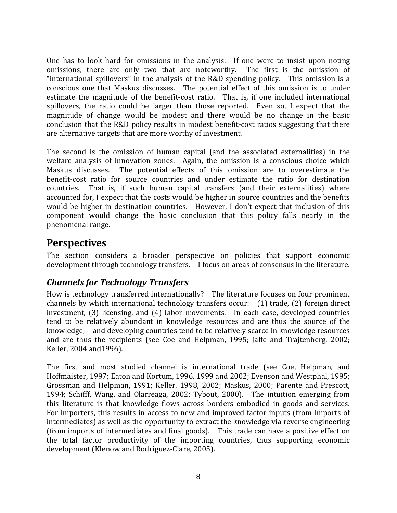One has to look hard for omissions in the analysis. If one were to insist upon noting omissions, there are only two that are noteworthy. The first is the omission of "international spillovers" in the analysis of the R&D spending policy. This omission is a conscious one that Maskus discusses. The potential effect of this omission is to under estimate the magnitude of the benefit-cost ratio. That is, if one included international spillovers, the ratio could be larger than those reported. Even so, I expect that the magnitude of change would be modest and there would be no change in the basic conclusion that the R&D policy results in modest benefit-cost ratios suggesting that there are alternative targets that are more worthy of investment.

The second is the omission of human capital (and the associated externalities) in the welfare analysis of innovation zones. Again, the omission is a conscious choice which Maskus discusses. The potential effects of this omission are to overestimate the benefit-cost ratio for source countries and under estimate the ratio for destination countries. That is, if such human capital transfers (and their externalities) where accounted for, I expect that the costs would be higher in source countries and the benefits would be higher in destination countries. However, I don't expect that inclusion of this component would change the basic conclusion that this policy falls nearly in the phenomenal range.

# <span id="page-10-0"></span>**Perspectives**

The section considers a broader perspective on policies that support economic development through technology transfers. I focus on areas of consensus in the literature.

### <span id="page-10-1"></span>*Channels for Technology Transfers*

How is technology transferred internationally? The literature focuses on four prominent channels by which international technology transfers occur: (1) trade, (2) foreign direct investment, (3) licensing, and (4) labor movements. In each case, developed countries tend to be relatively abundant in knowledge resources and are thus the source of the knowledge; and developing countries tend to be relatively scarce in knowledge resources and are thus the recipients (see Coe and Helpman, 1995; Jaffe and Trajtenberg, 2002; Keller, 2004 and1996).

The first and most studied channel is international trade (see Coe, Helpman, and Hoffmaister, 1997; Eaton and Kortum, 1996, 1999 and 2002; Evenson and Westphal, 1995; Grossman and Helpman, 1991; Keller, 1998, 2002; Maskus, 2000; Parente and Prescott, 1994; Schifff, Wang, and Olarreaga, 2002; Tybout, 2000). The intuition emerging from this literature is that knowledge flows across borders embodied in goods and services. For importers, this results in access to new and improved factor inputs (from imports of intermediates) as well as the opportunity to extract the knowledge via reverse engineering (from imports of intermediates and final goods). This trade can have a positive effect on the total factor productivity of the importing countries, thus supporting economic development (Klenow and Rodriguez-Clare, 2005).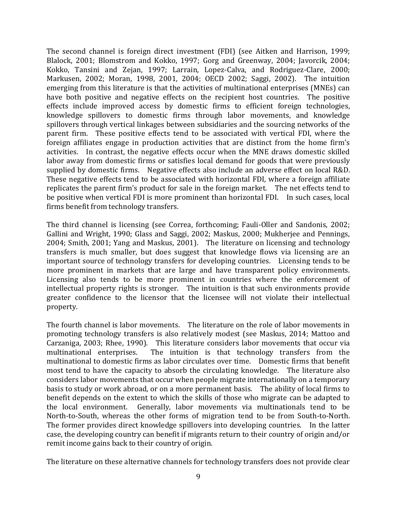The second channel is foreign direct investment (FDI) (see Aitken and Harrison, 1999; Blalock, 2001; Blomstrom and Kokko, 1997; Gorg and Greenway, 2004; Javorcik, 2004; Kokko, Tansini and Zejan, 1997; Larrain, Lopez-Calva, and Rodriguez-Clare, 2000; Markusen, 2002; Moran, 1998, 2001, 2004; OECD 2002; Saggi, 2002). The intuition emerging from this literature is that the activities of multinational enterprises (MNEs) can have both positive and negative effects on the recipient host countries. The positive effects include improved access by domestic firms to efficient foreign technologies, knowledge spillovers to domestic firms through labor movements, and knowledge spillovers through vertical linkages between subsidiaries and the sourcing networks of the parent firm. These positive effects tend to be associated with vertical FDI, where the foreign affiliates engage in production activities that are distinct from the home firm's activities. In contrast, the negative effects occur when the MNE draws domestic skilled labor away from domestic firms or satisfies local demand for goods that were previously supplied by domestic firms. Negative effects also include an adverse effect on local R&D. These negative effects tend to be associated with horizontal FDI, where a foreign affiliate replicates the parent firm's product for sale in the foreign market. The net effects tend to be positive when vertical FDI is more prominent than horizontal FDI. In such cases, local firms benefit from technology transfers.

The third channel is licensing (see Correa, forthcoming; Fauli-Oller and Sandonis, 2002; Gallini and Wright, 1990; Glass and Saggi, 2002; Maskus, 2000; Mukherjee and Pennings, 2004; Smith, 2001; Yang and Maskus, 2001). The literature on licensing and technology transfers is much smaller, but does suggest that knowledge flows via licensing are an important source of technology transfers for developing countries. Licensing tends to be more prominent in markets that are large and have transparent policy environments. Licensing also tends to be more prominent in countries where the enforcement of intellectual property rights is stronger. The intuition is that such environments provide greater confidence to the licensor that the licensee will not violate their intellectual property.

The fourth channel is labor movements. The literature on the role of labor movements in promoting technology transfers is also relatively modest (see Maskus, 2014; Mattoo and Carzaniga, 2003; Rhee, 1990). This literature considers labor movements that occur via multinational enterprises. The intuition is that technology transfers from the multinational to domestic firms as labor circulates over time. Domestic firms that benefit most tend to have the capacity to absorb the circulating knowledge. The literature also considers labor movements that occur when people migrate internationally on a temporary basis to study or work abroad, or on a more permanent basis. The ability of local firms to benefit depends on the extent to which the skills of those who migrate can be adapted to the local environment. Generally, labor movements via multinationals tend to be North-to-South, whereas the other forms of migration tend to be from South-to-North. The former provides direct knowledge spillovers into developing countries. In the latter case, the developing country can benefit if migrants return to their country of origin and/or remit income gains back to their country of origin.

The literature on these alternative channels for technology transfers does not provide clear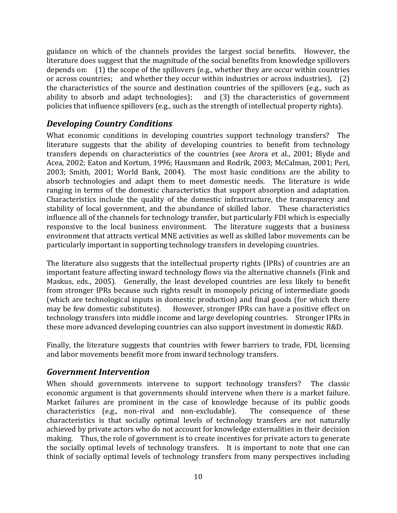guidance on which of the channels provides the largest social benefits. However, the literature does suggest that the magnitude of the social benefits from knowledge spillovers depends on: (1) the scope of the spillovers (e.g., whether they are occur within countries or across countries; and whether they occur within industries or across industries), (2) the characteristics of the source and destination countries of the spillovers (e.g., such as ability to absorb and adapt technologies); and (3) the characteristics of government policies that influence spillovers (e.g., such as the strength of intellectual property rights).

#### <span id="page-12-0"></span>*Developing Country Conditions*

What economic conditions in developing countries support technology transfers? The literature suggests that the ability of developing countries to benefit from technology transfers depends on characteristics of the countries (see Arora et al., 2001; Blyde and Acea, 2002; Eaton and Kortum, 1996; Hausmann and Rodrik, 2003; McCalman, 2001; Peri, 2003; Smith, 2001; World Bank, 2004). The most basic conditions are the ability to absorb technologies and adapt them to meet domestic needs. The literature is wide ranging in terms of the domestic characteristics that support absorption and adaptation. Characteristics include the quality of the domestic infrastructure, the transparency and stability of local government, and the abundance of skilled labor. These characteristics influence all of the channels for technology transfer, but particularly FDI which is especially responsive to the local business environment. The literature suggests that a business environment that attracts vertical MNE activities as well as skilled labor movements can be particularly important in supporting technology transfers in developing countries.

The literature also suggests that the intellectual property rights (IPRs) of countries are an important feature affecting inward technology flows via the alternative channels (Fink and Maskus, eds., 2005). Generally, the least developed countries are less likely to benefit from stronger IPRs because such rights result in monopoly pricing of intermediate goods (which are technological inputs in domestic production) and final goods (for which there may be few domestic substitutes). However, stronger IPRs can have a positive effect on technology transfers into middle income and large developing countries. Stronger IPRs in these more advanced developing countries can also support investment in domestic R&D.

Finally, the literature suggests that countries with fewer barriers to trade, FDI, licensing and labor movements benefit more from inward technology transfers.

#### <span id="page-12-1"></span>*Government Intervention*

When should governments intervene to support technology transfers? The classic economic argument is that governments should intervene when there is a market failure. Market failures are prominent in the case of knowledge because of its public goods characteristics (e.g., non-rival and non-excludable). The consequence of these characteristics is that socially optimal levels of technology transfers are not naturally achieved by private actors who do not account for knowledge externalities in their decision making. Thus, the role of government is to create incentives for private actors to generate the socially optimal levels of technology transfers. It is important to note that one can think of socially optimal levels of technology transfers from many perspectives including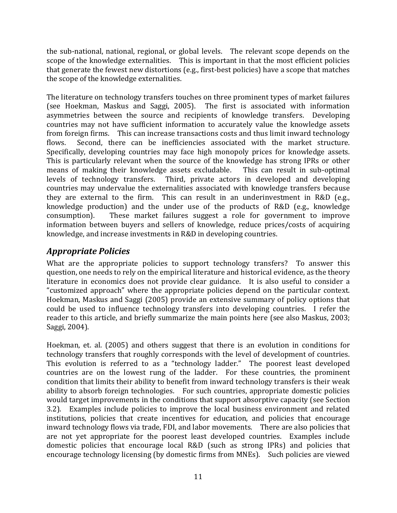the sub-national, national, regional, or global levels. The relevant scope depends on the scope of the knowledge externalities. This is important in that the most efficient policies that generate the fewest new distortions (e.g., first-best policies) have a scope that matches the scope of the knowledge externalities.

The literature on technology transfers touches on three prominent types of market failures (see Hoekman, Maskus and Saggi, 2005). The first is associated with information asymmetries between the source and recipients of knowledge transfers. Developing countries may not have sufficient information to accurately value the knowledge assets from foreign firms. This can increase transactions costs and thus limit inward technology flows. Second, there can be inefficiencies associated with the market structure. Specifically, developing countries may face high monopoly prices for knowledge assets. This is particularly relevant when the source of the knowledge has strong IPRs or other means of making their knowledge assets excludable. This can result in sub-optimal levels of technology transfers. Third, private actors in developed and developing countries may undervalue the externalities associated with knowledge transfers because they are external to the firm. This can result in an underinvestment in R&D (e.g., knowledge production) and the under use of the products of R&D (e.g., knowledge consumption). These market failures suggest a role for government to improve information between buyers and sellers of knowledge, reduce prices/costs of acquiring knowledge, and increase investments in R&D in developing countries.

#### <span id="page-13-0"></span>*Appropriate Policies*

What are the appropriate policies to support technology transfers? To answer this question, one needs to rely on the empirical literature and historical evidence, as the theory literature in economics does not provide clear guidance. It is also useful to consider a "customized approach" where the appropriate policies depend on the particular context. Hoekman, Maskus and Saggi (2005) provide an extensive summary of policy options that could be used to influence technology transfers into developing countries. I refer the reader to this article, and briefly summarize the main points here (see also Maskus, 2003; Saggi, 2004).

Hoekman, et. al. (2005) and others suggest that there is an evolution in conditions for technology transfers that roughly corresponds with the level of development of countries. This evolution is referred to as a "technology ladder." The poorest least developed countries are on the lowest rung of the ladder. For these countries, the prominent condition that limits their ability to benefit from inward technology transfers is their weak ability to absorb foreign technologies. For such countries, appropriate domestic policies would target improvements in the conditions that support absorptive capacity (see Section 3.2). Examples include policies to improve the local business environment and related institutions, policies that create incentives for education, and policies that encourage inward technology flows via trade, FDI, and labor movements. There are also policies that are not yet appropriate for the poorest least developed countries. Examples include domestic policies that encourage local R&D (such as strong IPRs) and policies that encourage technology licensing (by domestic firms from MNEs). Such policies are viewed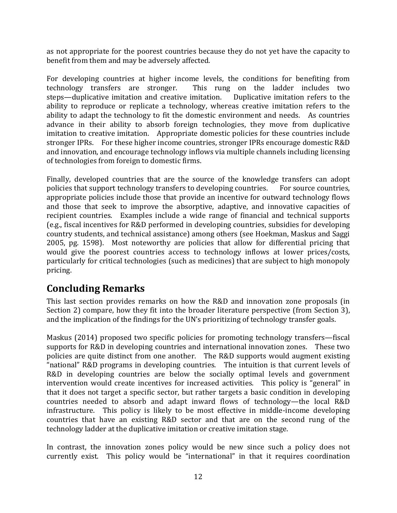as not appropriate for the poorest countries because they do not yet have the capacity to benefit from them and may be adversely affected.

For developing countries at higher income levels, the conditions for benefiting from technology transfers are stronger. This rung on the ladder includes two steps—duplicative imitation and creative imitation. Duplicative imitation refers to the ability to reproduce or replicate a technology, whereas creative imitation refers to the ability to adapt the technology to fit the domestic environment and needs. As countries advance in their ability to absorb foreign technologies, they move from duplicative imitation to creative imitation. Appropriate domestic policies for these countries include stronger IPRs. For these higher income countries, stronger IPRs encourage domestic R&D and innovation, and encourage technology inflows via multiple channels including licensing of technologies from foreign to domestic firms.

Finally, developed countries that are the source of the knowledge transfers can adopt policies that support technology transfers to developing countries. For source countries, appropriate policies include those that provide an incentive for outward technology flows and those that seek to improve the absorptive, adaptive, and innovative capacities of recipient countries. Examples include a wide range of financial and technical supports (e.g., fiscal incentives for R&D performed in developing countries, subsidies for developing country students, and technical assistance) among others (see Hoekman, Maskus and Saggi 2005, pg. 1598). Most noteworthy are policies that allow for differential pricing that would give the poorest countries access to technology inflows at lower prices/costs, particularly for critical technologies (such as medicines) that are subject to high monopoly pricing.

# <span id="page-14-0"></span>**Concluding Remarks**

This last section provides remarks on how the R&D and innovation zone proposals (in Section 2) compare, how they fit into the broader literature perspective (from Section 3), and the implication of the findings for the UN's prioritizing of technology transfer goals.

Maskus (2014) proposed two specific policies for promoting technology transfers—fiscal supports for R&D in developing countries and international innovation zones. These two policies are quite distinct from one another. The R&D supports would augment existing "national" R&D programs in developing countries. The intuition is that current levels of R&D in developing countries are below the socially optimal levels and government intervention would create incentives for increased activities. This policy is "general" in that it does not target a specific sector, but rather targets a basic condition in developing countries needed to absorb and adapt inward flows of technology—the local R&D infrastructure. This policy is likely to be most effective in middle-income developing countries that have an existing R&D sector and that are on the second rung of the technology ladder at the duplicative imitation or creative imitation stage.

In contrast, the innovation zones policy would be new since such a policy does not currently exist. This policy would be "international" in that it requires coordination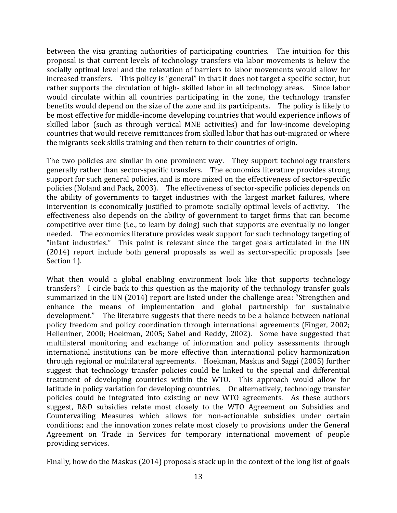between the visa granting authorities of participating countries. The intuition for this proposal is that current levels of technology transfers via labor movements is below the socially optimal level and the relaxation of barriers to labor movements would allow for increased transfers. This policy is "general" in that it does not target a specific sector, but rather supports the circulation of high- skilled labor in all technology areas. Since labor would circulate within all countries participating in the zone, the technology transfer benefits would depend on the size of the zone and its participants. The policy is likely to be most effective for middle-income developing countries that would experience inflows of skilled labor (such as through vertical MNE activities) and for low-income developing countries that would receive remittances from skilled labor that has out-migrated or where the migrants seek skills training and then return to their countries of origin.

The two policies are similar in one prominent way. They support technology transfers generally rather than sector-specific transfers. The economics literature provides strong support for such general policies, and is more mixed on the effectiveness of sector-specific policies (Noland and Pack, 2003). The effectiveness of sector-specific policies depends on the ability of governments to target industries with the largest market failures, where intervention is economically justified to promote socially optimal levels of activity. The effectiveness also depends on the ability of government to target firms that can become competitive over time (i.e., to learn by doing) such that supports are eventually no longer needed. The economics literature provides weak support for such technology targeting of "infant industries." This point is relevant since the target goals articulated in the UN (2014) report include both general proposals as well as sector-specific proposals (see Section 1).

What then would a global enabling environment look like that supports technology transfers? I circle back to this question as the majority of the technology transfer goals summarized in the UN (2014) report are listed under the challenge area: "Strengthen and enhance the means of implementation and global partnership for sustainable development." The literature suggests that there needs to be a balance between national policy freedom and policy coordination through international agreements (Finger, 2002; Helleniner, 2000; Hoekman, 2005; Sabel and Reddy, 2002). Some have suggested that multilateral monitoring and exchange of information and policy assessments through international institutions can be more effective than international policy harmonization through regional or multilateral agreements. Hoekman, Maskus and Saggi (2005) further suggest that technology transfer policies could be linked to the special and differential treatment of developing countries within the WTO. This approach would allow for latitude in policy variation for developing countries. Or alternatively, technology transfer policies could be integrated into existing or new WTO agreements. As these authors suggest, R&D subsidies relate most closely to the WTO Agreement on Subsidies and Countervailing Measures which allows for non-actionable subsidies under certain conditions; and the innovation zones relate most closely to provisions under the General Agreement on Trade in Services for temporary international movement of people providing services.

Finally, how do the Maskus (2014) proposals stack up in the context of the long list of goals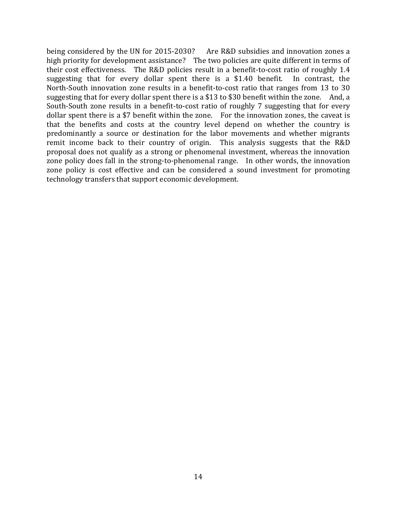being considered by the UN for 2015-2030? Are R&D subsidies and innovation zones a high priority for development assistance? The two policies are quite different in terms of their cost effectiveness. The R&D policies result in a benefit-to-cost ratio of roughly 1.4 suggesting that for every dollar spent there is a \$1.40 benefit. In contrast, the North-South innovation zone results in a benefit-to-cost ratio that ranges from 13 to 30 suggesting that for every dollar spent there is a \$13 to \$30 benefit within the zone. And, a South-South zone results in a benefit-to-cost ratio of roughly 7 suggesting that for every dollar spent there is a \$7 benefit within the zone. For the innovation zones, the caveat is that the benefits and costs at the country level depend on whether the country is predominantly a source or destination for the labor movements and whether migrants remit income back to their country of origin. This analysis suggests that the R&D proposal does not qualify as a strong or phenomenal investment, whereas the innovation zone policy does fall in the strong-to-phenomenal range. In other words, the innovation zone policy is cost effective and can be considered a sound investment for promoting technology transfers that support economic development.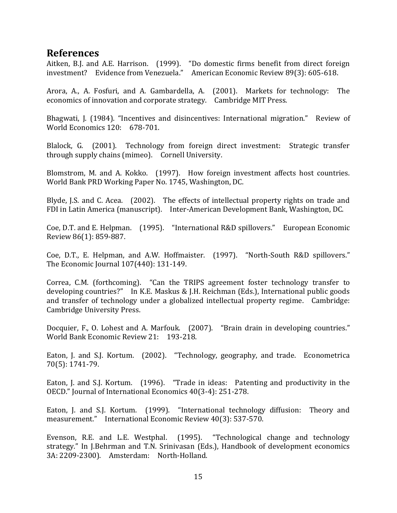#### **References**

Aitken, B.J. and A.E. Harrison. (1999). "Do domestic firms benefit from direct foreign investment? Evidence from Venezuela." American Economic Review 89(3): 605-618.

Arora, A., A. Fosfuri, and A. Gambardella, A. (2001). Markets for technology: The economics of innovation and corporate strategy. Cambridge MIT Press.

Bhagwati, J. (1984). "Incentives and disincentives: International migration." Review of World Economics 120: 678-701.

Blalock, G. (2001). Technology from foreign direct investment: Strategic transfer through supply chains (mimeo). Cornell University.

Blomstrom, M. and A. Kokko. (1997). How foreign investment affects host countries. World Bank PRD Working Paper No. 1745, Washington, DC.

Blyde, J.S. and C. Acea. (2002). The effects of intellectual property rights on trade and FDI in Latin America (manuscript). Inter-American Development Bank, Washington, DC.

Coe, D.T. and E. Helpman. (1995). "International R&D spillovers." European Economic Review 86(1): 859-887.

Coe, D.T., E. Helpman, and A.W. Hoffmaister. (1997). "North-South R&D spillovers." The Economic Journal 107(440): 131-149.

Correa, C.M. (forthcoming). "Can the TRIPS agreement foster technology transfer to developing countries?" In K.E. Maskus & J.H. Reichman (Eds.), International public goods and transfer of technology under a globalized intellectual property regime. Cambridge: Cambridge University Press.

Docquier, F., O. Lohest and A. Marfouk. (2007). "Brain drain in developing countries." World Bank Economic Review 21: 193-218.

Eaton, J. and S.J. Kortum. (2002). "Technology, geography, and trade. Econometrica 70(5): 1741-79.

Eaton, J. and S.J. Kortum. (1996). "Trade in ideas: Patenting and productivity in the OECD." Journal of International Economics 40(3-4): 251-278.

Eaton, J. and S.J. Kortum. (1999). "International technology diffusion: Theory and measurement." International Economic Review 40(3): 537-570.

Evenson, R.E. and L.E. Westphal. (1995). "Technological change and technology strategy." In J.Behrman and T.N. Srinivasan (Eds.), Handbook of development economics 3A: 2209-2300). Amsterdam: North-Holland.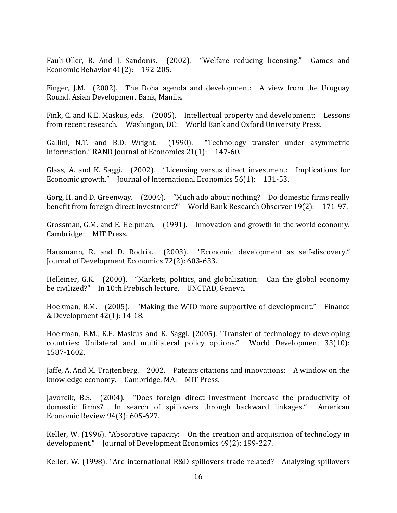Fauli-Oller, R. And J. Sandonis. (2002). "Welfare reducing licensing." Games and Economic Behavior 41(2): 192-205.

Finger, J.M. (2002). The Doha agenda and development: A view from the Uruguay Round. Asian Development Bank, Manila.

Fink, C. and K.E. Maskus, eds. (2005). Intellectual property and development: Lessons from recent research. Washingon, DC: World Bank and Oxford University Press.

Gallini, N.T. and B.D. Wright. (1990). "Technology transfer under asymmetric information." RAND Journal of Economics 21(1): 147-60.

Glass, A. and K. Saggi. (2002). "Licensing versus direct investment: Implications for Economic growth." Journal of International Economics 56(1): 131-53.

Gorg, H. and D. Greenway. (2004). "Much ado about nothing? Do domestic firms really benefit from foreign direct investment?" World Bank Research Observer 19(2): 171-97.

Grossman, G.M. and E. Helpman. (1991). Innovation and growth in the world economy. Cambridge: MIT Press.

Hausmann, R. and D. Rodrik. (2003). "Economic development as self-discovery." Journal of Development Economics 72(2): 603-633.

Helleiner, G.K. (2000). "Markets, politics, and globalization: Can the global economy be civilized?" In 10th Prebisch lecture. UNCTAD, Geneva.

Hoekman, B.M. (2005). "Making the WTO more supportive of development." Finance & Development 42(1): 14-18.

Hoekman, B.M., K.E. Maskus and K. Saggi. (2005). "Transfer of technology to developing countries: Unilateral and multilateral policy options." World Development 33(10): 1587-1602.

Jaffe, A. And M. Trajtenberg. 2002. Patents citations and innovations: A window on the knowledge economy. Cambridge, MA: MIT Press.

Javorcik, B.S. (2004). "Does foreign direct investment increase the productivity of domestic firms? In search of spillovers through backward linkages." American Economic Review 94(3): 605-627.

Keller, W. (1996). "Absorptive capacity: On the creation and acquisition of technology in development." Journal of Development Economics 49(2): 199-227.

Keller, W. (1998). "Are international R&D spillovers trade-related? Analyzing spillovers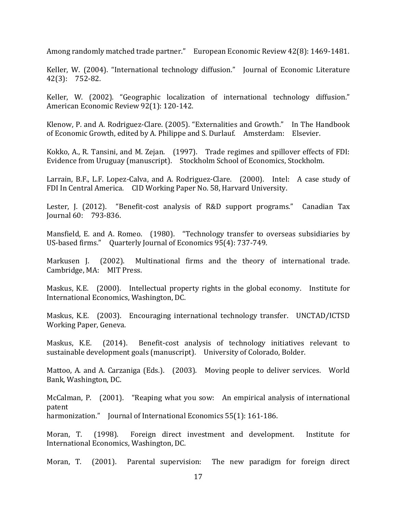Among randomly matched trade partner." European Economic Review 42(8): 1469-1481.

Keller, W. (2004). "International technology diffusion." Journal of Economic Literature 42(3): 752-82.

Keller, W. (2002). "Geographic localization of international technology diffusion." American Economic Review 92(1): 120-142.

Klenow, P. and A. Rodriguez-Clare. (2005). "Externalities and Growth." In The Handbook of Economic Growth, edited by A. Philippe and S. Durlauf. Amsterdam: Elsevier.

Kokko, A., R. Tansini, and M. Zejan. (1997). Trade regimes and spillover effects of FDI: Evidence from Uruguay (manuscript). Stockholm School of Economics, Stockholm.

Larrain, B.F., L.F. Lopez-Calva, and A. Rodriguez-Clare. (2000). Intel: A case study of FDI In Central America. CID Working Paper No. 58, Harvard University.

Lester, J. (2012). "Benefit-cost analysis of R&D support programs." Canadian Tax Journal 60: 793-836.

Mansfield, E. and A. Romeo. (1980). "Technology transfer to overseas subsidiaries by US-based firms." Quarterly Journal of Economics 95(4): 737-749.

Markusen J. (2002). Multinational firms and the theory of international trade. Cambridge, MA: MIT Press.

Maskus, K.E. (2000). Intellectual property rights in the global economy. Institute for International Economics, Washington, DC.

Maskus, K.E. (2003). Encouraging international technology transfer. UNCTAD/ICTSD Working Paper, Geneva.

Maskus, K.E. (2014). Benefit-cost analysis of technology initiatives relevant to sustainable development goals (manuscript). University of Colorado, Bolder.

Mattoo, A. and A. Carzaniga (Eds.). (2003). Moving people to deliver services. World Bank, Washington, DC.

McCalman, P. (2001). "Reaping what you sow: An empirical analysis of international patent harmonization." Journal of International Economics 55(1): 161-186.

Moran, T. (1998). Foreign direct investment and development. Institute for International Economics, Washington, DC.

Moran, T. (2001). Parental supervision: The new paradigm for foreign direct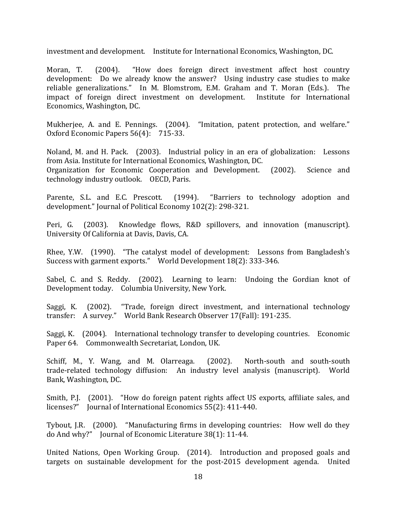investment and development. Institute for International Economics, Washington, DC.

Moran, T. (2004). "How does foreign direct investment affect host country development: Do we already know the answer? Using industry case studies to make reliable generalizations." In M. Blomstrom, E.M. Graham and T. Moran (Eds.). The impact of foreign direct investment on development. Institute for International Economics, Washington, DC.

Mukherjee, A. and E. Pennings. (2004). "Imitation, patent protection, and welfare." Oxford Economic Papers 56(4): 715-33.

Noland, M. and H. Pack. (2003). Industrial policy in an era of globalization: Lessons from Asia. Institute for International Economics, Washington, DC. Organization for Economic Cooperation and Development. (2002). Science and technology industry outlook. OECD, Paris.

Parente, S.L. and E.C. Prescott. (1994). "Barriers to technology adoption and development." Journal of Political Economy 102(2): 298-321.

Peri, G. (2003). Knowledge flows, R&D spillovers, and innovation (manuscript). University Of California at Davis, Davis, CA.

Rhee, Y.W. (1990). "The catalyst model of development: Lessons from Bangladesh's Success with garment exports." World Development 18(2): 333-346.

Sabel, C. and S. Reddy. (2002). Learning to learn: Undoing the Gordian knot of Development today. Columbia University, New York.

Saggi, K. (2002). "Trade, foreign direct investment, and international technology transfer: A survey." World Bank Research Observer 17(Fall): 191-235.

Saggi, K. (2004). International technology transfer to developing countries. Economic Paper 64. Commonwealth Secretariat, London, UK.

Schiff, M., Y. Wang, and M. Olarreaga. (2002). North-south and south-south trade-related technology diffusion: An industry level analysis (manuscript). World Bank, Washington, DC.

Smith, P.J. (2001). "How do foreign patent rights affect US exports, affiliate sales, and licenses?" Journal of International Economics 55(2): 411-440.

Tybout, J.R. (2000). "Manufacturing firms in developing countries: How well do they do And why?" Journal of Economic Literature 38(1): 11-44.

United Nations, Open Working Group. (2014). Introduction and proposed goals and targets on sustainable development for the post-2015 development agenda. United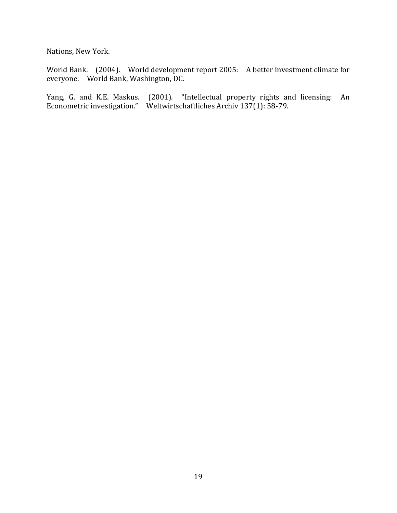Nations, New York.

World Bank. (2004). World development report 2005: A better investment climate for everyone. World Bank, Washington, DC.

Yang, G. and K.E. Maskus. (2001). "Intellectual property rights and licensing: An Econometric investigation." Weltwirtschaftliches Archiv 137(1): 58-79.